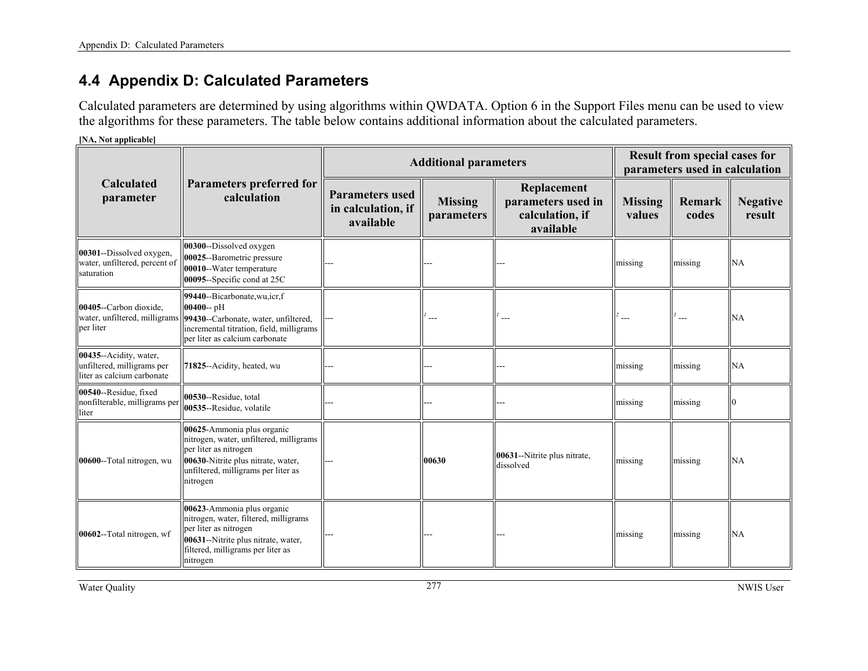# **4.4 Appendix D: Calculated Parameters**

Calculated parameters are determined by using algorithms within QWDATA. Option 6 in the Support Files menu can be used to view the algorithms for these parameters. The table below contains additional information about the calculated parameters.

**[NA, Not applicable]** 

|                                                                                    |                                                                                                                                                                                         |                                                           | <b>Additional parameters</b> |                                                                   | <b>Result from special cases for</b><br>parameters used in calculation |                 |                           |
|------------------------------------------------------------------------------------|-----------------------------------------------------------------------------------------------------------------------------------------------------------------------------------------|-----------------------------------------------------------|------------------------------|-------------------------------------------------------------------|------------------------------------------------------------------------|-----------------|---------------------------|
| <b>Calculated</b><br>parameter                                                     | <b>Parameters preferred for</b><br>calculation                                                                                                                                          | <b>Parameters used</b><br>in calculation, if<br>available | <b>Missing</b><br>parameters | Replacement<br>parameters used in<br>calculation, if<br>available | <b>Missing</b><br>values                                               | Remark<br>codes | <b>Negative</b><br>result |
| 00301--Dissolved oxygen,<br>water, unfiltered, percent of<br>saturation            | 00300--Dissolved oxygen<br>00025--Barometric pressure<br>00010--Water temperature<br>00095--Specific cond at 25C                                                                        |                                                           |                              |                                                                   | missing                                                                | missing         | NA                        |
| 00405--Carbon dioxide.<br>water, unfiltered, milligrams<br>per liter               | 99440-Bicarbonate, wu, icr, f<br>$00400 - pH$<br>99430--Carbonate, water, unfiltered,<br>incremental titration, field, milligrams<br>per liter as calcium carbonate                     |                                                           | $---$                        | ---                                                               |                                                                        | $---$           | <b>NA</b>                 |
| 00435--Acidity, water,<br>unfiltered, milligrams per<br>liter as calcium carbonate | 71825--Acidity, heated, wu                                                                                                                                                              |                                                           |                              |                                                                   | missing                                                                | missing         | NA                        |
| 00540--Residue, fixed<br>nonfilterable, milligrams per<br>liter                    | 00530--Residue, total<br>00535--Residue, volatile                                                                                                                                       |                                                           |                              |                                                                   | missing                                                                | missing         |                           |
| 00600--Total nitrogen, wu                                                          | 00625-Ammonia plus organic<br>nitrogen, water, unfiltered, milligrams<br>per liter as nitrogen<br>00630-Nitrite plus nitrate, water,<br>unfiltered, milligrams per liter as<br>nitrogen |                                                           | 00630                        | 00631--Nitrite plus nitrate,<br>dissolved                         | missing                                                                | missing         | NA                        |
| 00602--Total nitrogen, wf                                                          | 00623-Ammonia plus organic<br>nitrogen, water, filtered, milligrams<br>per liter as nitrogen<br>00631--Nitrite plus nitrate, water,<br>filtered, milligrams per liter as<br>nitrogen    |                                                           |                              |                                                                   | missing                                                                | missing         | NA                        |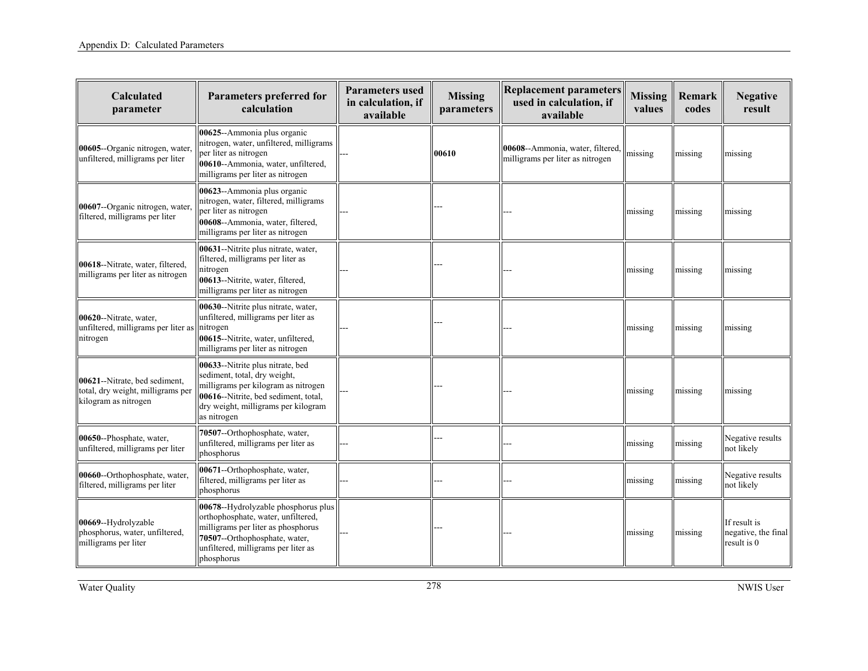| Calculated<br>parameter                                                                    | Parameters preferred for<br>calculation                                                                                                                                                               | <b>Parameters used</b><br>in calculation, if<br>available | <b>Missing</b><br>parameters | <b>Replacement parameters</b><br>used in calculation, if<br>available | <b>Missing</b><br>values | Remark<br>codes | <b>Negative</b><br>result                          |
|--------------------------------------------------------------------------------------------|-------------------------------------------------------------------------------------------------------------------------------------------------------------------------------------------------------|-----------------------------------------------------------|------------------------------|-----------------------------------------------------------------------|--------------------------|-----------------|----------------------------------------------------|
| 00605--Organic nitrogen, water,<br>unfiltered, milligrams per liter                        | 00625--Ammonia plus organic<br>nitrogen, water, unfiltered, milligrams<br>per liter as nitrogen<br>00610--Ammonia, water, unfiltered,<br>milligrams per liter as nitrogen                             |                                                           | 00610                        | 00608--Ammonia, water, filtered,<br>milligrams per liter as nitrogen  | missing                  | missing         | missing                                            |
| 00607--Organic nitrogen, water,<br>filtered, milligrams per liter                          | 00623--Ammonia plus organic<br>nitrogen, water, filtered, milligrams<br>per liter as nitrogen<br>00608--Ammonia, water, filtered,<br>milligrams per liter as nitrogen                                 |                                                           |                              |                                                                       | missing                  | missing         | missing                                            |
| 00618--Nitrate, water, filtered,<br>milligrams per liter as nitrogen                       | 00631--Nitrite plus nitrate, water,<br>filtered, milligrams per liter as<br>nitrogen<br>00613--Nitrite, water, filtered,<br>milligrams per liter as nitrogen                                          |                                                           |                              |                                                                       | missing                  | missing         | missing                                            |
| 00620--Nitrate, water,<br>unfiltered, milligrams per liter as<br>nitrogen                  | 00630--Nitrite plus nitrate, water,<br>unfiltered, milligrams per liter as<br>nitrogen<br>00615--Nitrite, water, unfiltered,<br>milligrams per liter as nitrogen                                      |                                                           |                              |                                                                       | missing                  | missing         | missing                                            |
| 00621--Nitrate, bed sediment,<br>total, dry weight, milligrams per<br>kilogram as nitrogen | 00633--Nitrite plus nitrate, bed<br>sediment, total, dry weight,<br>milligrams per kilogram as nitrogen<br>00616--Nitrite, bed sediment, total,<br>dry weight, milligrams per kilogram<br>as nitrogen |                                                           |                              |                                                                       | missing                  | missing         | missing                                            |
| 00650--Phosphate, water,<br>unfiltered, milligrams per liter                               | 70507--Orthophosphate, water,<br>unfiltered, milligrams per liter as<br>phosphorus                                                                                                                    |                                                           |                              |                                                                       | missing                  | missing         | Negative results<br>not likely                     |
| 00660--Orthophosphate, water,<br>filtered, milligrams per liter                            | 00671--Orthophosphate, water,<br>filtered, milligrams per liter as<br>phosphorus                                                                                                                      |                                                           |                              |                                                                       | missing                  | missing         | Negative results<br>not likely                     |
| 00669--Hydrolyzable<br>phosphorus, water, unfiltered,<br>milligrams per liter              | 00678--Hydrolyzable phosphorus plus<br>orthophosphate, water, unfiltered,<br>milligrams per liter as phosphorus<br>70507--Orthophosphate, water,<br>unfiltered, milligrams per liter as<br>phosphorus |                                                           |                              |                                                                       | missing                  | missing         | If result is<br>negative, the final<br>result is 0 |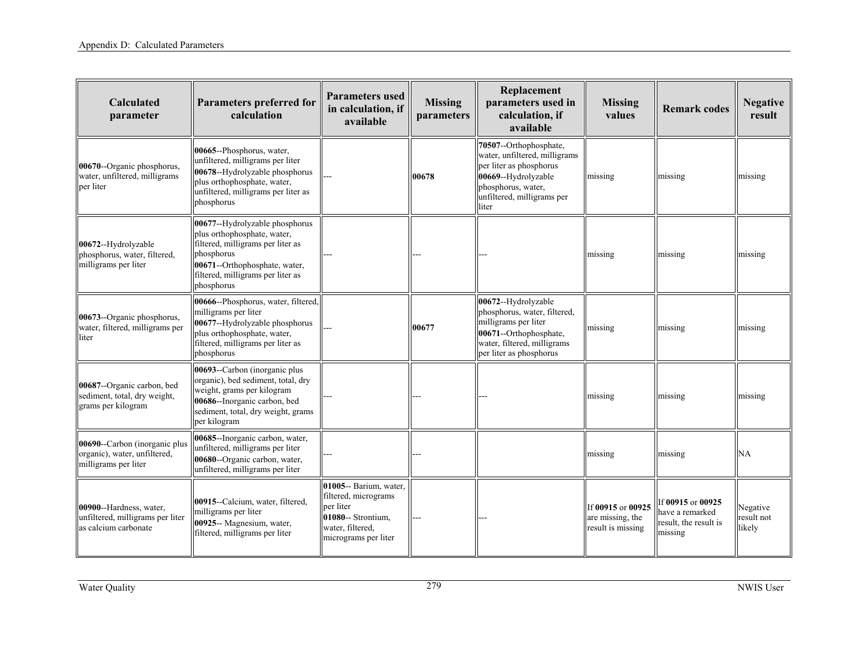| Calculated<br>parameter                                                               | Parameters preferred for<br>calculation                                                                                                                                                              | <b>Parameters used</b><br>in calculation, if<br>available                                                                     | <b>Missing</b><br>parameters | Replacement<br>parameters used in<br>calculation, if<br>available                                                                                                      | <b>Missing</b><br>values                                   | <b>Remark codes</b>                                                      | <b>Negative</b><br>result        |
|---------------------------------------------------------------------------------------|------------------------------------------------------------------------------------------------------------------------------------------------------------------------------------------------------|-------------------------------------------------------------------------------------------------------------------------------|------------------------------|------------------------------------------------------------------------------------------------------------------------------------------------------------------------|------------------------------------------------------------|--------------------------------------------------------------------------|----------------------------------|
| 00670--Organic phosphorus.<br>water, unfiltered, milligrams<br>per liter              | 00665--Phosphorus, water,<br>unfiltered, milligrams per liter<br>00678--Hydrolyzable phosphorus<br>plus orthophosphate, water,<br>unfiltered, milligrams per liter as<br>phosphorus                  |                                                                                                                               | 00678                        | 70507--Orthophosphate,<br>water, unfiltered, milligrams<br>per liter as phosphorus<br>00669--Hydrolyzable<br>phosphorus, water,<br>unfiltered, milligrams per<br>liter | missing                                                    | missing                                                                  | missing                          |
| 00672--Hydrolyzable<br>phosphorus, water, filtered,<br>milligrams per liter           | 00677--Hydrolyzable phosphorus<br>plus orthophosphate, water,<br>filtered, milligrams per liter as<br>phosphorus<br>00671--Orthophosphate, water,<br>filtered, milligrams per liter as<br>phosphorus |                                                                                                                               |                              |                                                                                                                                                                        | missing                                                    | missing                                                                  | missing                          |
| 00673--Organic phosphorus,<br>water, filtered, milligrams per<br>liter                | 00666--Phosphorus, water, filtered,<br>milligrams per liter<br>00677--Hydrolyzable phosphorus<br>plus orthophosphate, water,<br>filtered, milligrams per liter as<br>phosphorus                      |                                                                                                                               | 00677                        | 00672--Hydrolyzable<br>phosphorus, water, filtered,<br>milligrams per liter<br>00671--Orthophosphate,<br>water, filtered, milligrams<br>per liter as phosphorus        | missing                                                    | missing                                                                  | missing                          |
| 00687--Organic carbon, bed<br>sediment, total, dry weight,<br>grams per kilogram      | 00693--Carbon (inorganic plus<br>organic), bed sediment, total, dry<br>weight, grams per kilogram<br>00686--Inorganic carbon, bed<br>sediment, total, dry weight, grams<br>per kilogram              |                                                                                                                               |                              |                                                                                                                                                                        | missing                                                    | missing                                                                  | missing                          |
| 00690--Carbon (inorganic plus<br>organic), water, unfiltered,<br>milligrams per liter | 00685--Inorganic carbon, water,<br>unfiltered, milligrams per liter<br>00680--Organic carbon, water,<br>unfiltered, milligrams per liter                                                             |                                                                                                                               |                              |                                                                                                                                                                        | missing                                                    | missing                                                                  | NA                               |
| 00900--Hardness, water,<br>unfiltered, milligrams per liter<br>as calcium carbonate   | 00915--Calcium, water, filtered,<br>milligrams per liter<br>00925-- Magnesium, water,<br>filtered, milligrams per liter                                                                              | 01005-- Barium, water,<br>filtered, micrograms<br>per liter<br>01080-- Strontium.<br>water, filtered,<br>micrograms per liter |                              |                                                                                                                                                                        | If 00915 or 00925<br>are missing, the<br>result is missing | If 00915 or 00925<br>have a remarked<br>result, the result is<br>missing | Negative<br>result not<br>likely |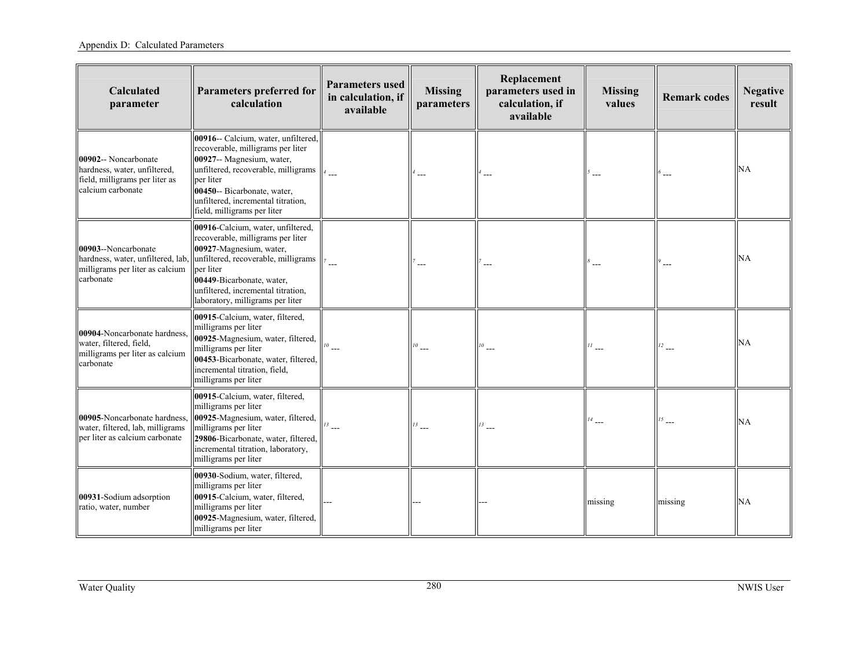| Calculated<br>parameter                                                                                     | <b>Parameters preferred for</b><br>calculation                                                                                                                                                                                                                | <b>Parameters used</b><br>in calculation, if<br>available | <b>Missing</b><br>parameters | Replacement<br>parameters used in<br>calculation, if<br>available | <b>Missing</b><br>values | <b>Remark codes</b> | <b>Negative</b><br>result |
|-------------------------------------------------------------------------------------------------------------|---------------------------------------------------------------------------------------------------------------------------------------------------------------------------------------------------------------------------------------------------------------|-----------------------------------------------------------|------------------------------|-------------------------------------------------------------------|--------------------------|---------------------|---------------------------|
| 00902-- Noncarbonate<br>hardness, water, unfiltered,<br>field, milligrams per liter as<br>calcium carbonate | 00916-- Calcium, water, unfiltered,<br>recoverable, milligrams per liter<br>00927-- Magnesium, water,<br>unfiltered, recoverable, milligrams<br>per liter<br>00450-- Bicarbonate, water,<br>unfiltered, incremental titration,<br>field, milligrams per liter |                                                           |                              |                                                                   |                          |                     | <b>NA</b>                 |
| 00903--Noncarbonate<br>hardness, water, unfiltered, lab.<br>milligrams per liter as calcium<br>carbonate    | 00916-Calcium, water, unfiltered,<br>recoverable, milligrams per liter<br>00927-Magnesium, water,<br>unfiltered, recoverable, milligrams<br>per liter<br>00449-Bicarbonate, water,<br>unfiltered, incremental titration,<br>laboratory, milligrams per liter  |                                                           |                              |                                                                   |                          |                     | <b>NA</b>                 |
| 00904-Noncarbonate hardness,<br>water, filtered, field,<br>milligrams per liter as calcium<br>carbonate     | 00915-Calcium, water, filtered,<br>milligrams per liter<br>00925-Magnesium, water, filtered,<br>milligrams per liter<br>00453-Bicarbonate, water, filtered,<br>incremental titration, field,<br>milligrams per liter                                          |                                                           | $10$ ---                     | $^{10}$<br>$\_$                                                   |                          | $12$ ___            | <b>NA</b>                 |
| 00905-Noncarbonate hardness.<br>water, filtered, lab, milligrams<br>per liter as calcium carbonate          | 00915-Calcium, water, filtered,<br>milligrams per liter<br>00925-Magnesium, water, filtered,<br>milligrams per liter<br>29806-Bicarbonate, water, filtered,<br>incremental titration, laboratory,<br>milligrams per liter                                     | 13                                                        |                              | $13$ $\overline{\phantom{0}}$                                     |                          | 15                  | <b>NA</b>                 |
| 00931-Sodium adsorption<br>ratio, water, number                                                             | 00930-Sodium, water, filtered,<br>milligrams per liter<br>00915-Calcium, water, filtered,<br>milligrams per liter<br>00925-Magnesium, water, filtered,<br>milligrams per liter                                                                                |                                                           |                              |                                                                   | missing                  | missing             | <b>NA</b>                 |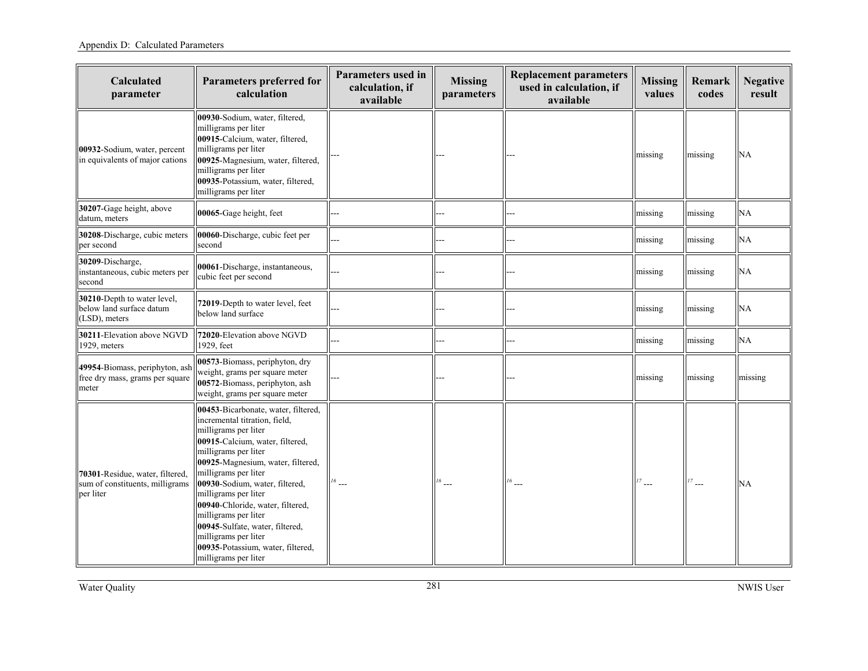| Calculated<br>parameter                                                         | Parameters preferred for<br>calculation                                                                                                                                                                                                                                                                                                                                                                                                                            | Parameters used in<br>calculation, if<br>available | <b>Missing</b><br>parameters | <b>Replacement parameters</b><br>used in calculation, if<br>available | <b>Missing</b><br>values | Remark<br>codes | <b>Negative</b><br>result |
|---------------------------------------------------------------------------------|--------------------------------------------------------------------------------------------------------------------------------------------------------------------------------------------------------------------------------------------------------------------------------------------------------------------------------------------------------------------------------------------------------------------------------------------------------------------|----------------------------------------------------|------------------------------|-----------------------------------------------------------------------|--------------------------|-----------------|---------------------------|
| 00932-Sodium, water, percent<br>in equivalents of major cations                 | 00930-Sodium, water, filtered,<br>milligrams per liter<br>00915-Calcium, water, filtered,<br>milligrams per liter<br>00925-Magnesium, water, filtered,<br>milligrams per liter<br>00935-Potassium, water, filtered,<br>milligrams per liter                                                                                                                                                                                                                        |                                                    |                              |                                                                       | missing                  | missing         | NA                        |
| 30207-Gage height, above<br>datum, meters                                       | 00065-Gage height, feet                                                                                                                                                                                                                                                                                                                                                                                                                                            |                                                    |                              |                                                                       | missing                  | missing         | NA                        |
| 30208-Discharge, cubic meters<br>per second                                     | 00060-Discharge, cubic feet per<br>second                                                                                                                                                                                                                                                                                                                                                                                                                          |                                                    |                              |                                                                       | missing                  | missing         | <b>NA</b>                 |
| 30209-Discharge,<br>instantaneous, cubic meters per<br>second                   | 00061-Discharge, instantaneous,<br>cubic feet per second                                                                                                                                                                                                                                                                                                                                                                                                           |                                                    |                              |                                                                       | missing                  | missing         | NA                        |
| 30210-Depth to water level,<br>below land surface datum<br>(LSD), meters        | 72019-Depth to water level, feet<br>below land surface                                                                                                                                                                                                                                                                                                                                                                                                             |                                                    |                              |                                                                       | missing                  | missing         | NA                        |
| 30211-Elevation above NGVD<br>1929, meters                                      | 72020-Elevation above NGVD<br>1929, feet                                                                                                                                                                                                                                                                                                                                                                                                                           |                                                    |                              |                                                                       | missing                  | missing         | NA                        |
| 49954-Biomass, periphyton, ash<br>free dry mass, grams per square<br>meter      | 00573-Biomass, periphyton, dry<br>weight, grams per square meter<br>00572-Biomass, periphyton, ash<br>weight, grams per square meter                                                                                                                                                                                                                                                                                                                               |                                                    |                              |                                                                       | missing                  | missing         | missing                   |
| 70301-Residue, water, filtered,<br>sum of constituents, milligrams<br>per liter | 00453-Bicarbonate, water, filtered,<br>incremental titration, field,<br>milligrams per liter<br>00915-Calcium, water, filtered,<br>milligrams per liter<br>00925-Magnesium, water, filtered,<br>milligrams per liter<br>00930-Sodium, water, filtered,<br>milligrams per liter<br>00940-Chloride, water, filtered,<br>milligrams per liter<br>00945-Sulfate, water, filtered,<br>milligrams per liter<br>00935-Potassium, water, filtered,<br>milligrams per liter | $16$ ---                                           | $^{16}$ $\ldots$             | $16$ $-$                                                              | $^{17}$ $\ldots$         | $\overline{a}$  | NA                        |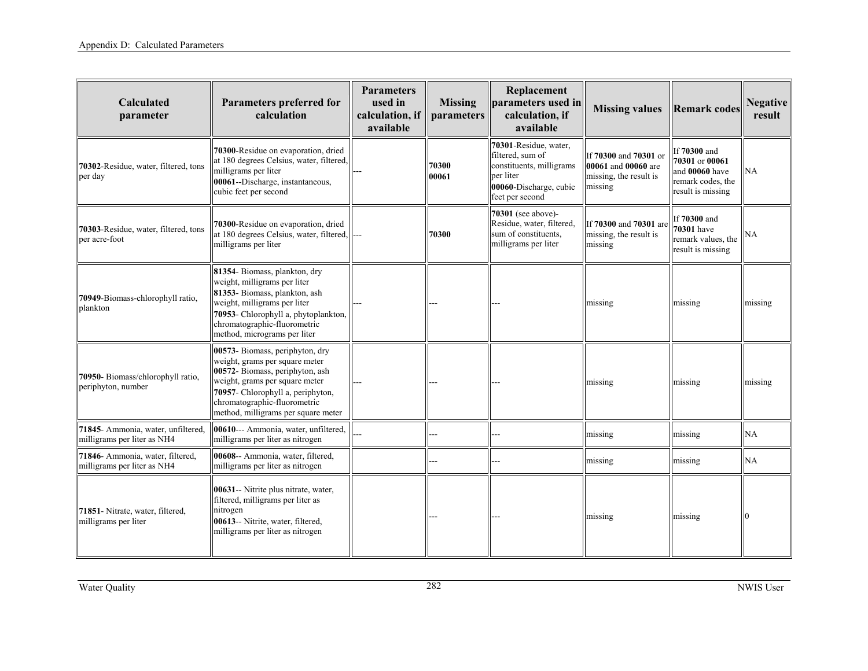| Calculated<br>parameter                                           | <b>Parameters preferred for</b><br>calculation                                                                                                                                                                                                     | <b>Parameters</b><br>used in<br>calculation, if<br>available | <b>Missing</b><br>parameters | Replacement<br>parameters used in<br>calculation, if<br>available                                                               | <b>Missing values</b>                                                             | <b>Remark codes</b>                                                                        | <b>Negative</b><br>result |
|-------------------------------------------------------------------|----------------------------------------------------------------------------------------------------------------------------------------------------------------------------------------------------------------------------------------------------|--------------------------------------------------------------|------------------------------|---------------------------------------------------------------------------------------------------------------------------------|-----------------------------------------------------------------------------------|--------------------------------------------------------------------------------------------|---------------------------|
| 70302-Residue, water, filtered, tons<br>per day                   | 70300-Residue on evaporation, dried<br>at 180 degrees Celsius, water, filtered,<br>milligrams per liter<br>00061--Discharge, instantaneous,<br>cubic feet per second                                                                               |                                                              | 70300<br>00061               | 70301-Residue, water,<br>filtered, sum of<br>constituents, milligrams<br>per liter<br>00060-Discharge, cubic<br>feet per second | If 70300 and 70301 or<br>00061 and 00060 are<br>missing, the result is<br>missing | If 70300 and<br>70301 or 00061<br>and 00060 have<br>remark codes, the<br>result is missing | <b>NA</b>                 |
| 70303-Residue, water, filtered, tons<br>per acre-foot             | 70300-Residue on evaporation, dried<br>at 180 degrees Celsius, water, filtered,<br>milligrams per liter                                                                                                                                            |                                                              | 70300                        | 70301 (see above)-<br>Residue, water, filtered,<br>sum of constituents.<br>milligrams per liter                                 | If 70300 and 70301 are<br>missing, the result is<br>missing                       | If 70300 and<br><b>70301</b> have<br>remark values, the<br>result is missing               | NA                        |
| 70949-Biomass-chlorophyll ratio,<br>plankton                      | 81354- Biomass, plankton, dry<br>weight, milligrams per liter<br>81353- Biomass, plankton, ash<br>weight, milligrams per liter<br>70953- Chlorophyll a, phytoplankton,<br>chromatographic-fluorometric<br>method, micrograms per liter             |                                                              |                              |                                                                                                                                 | missing                                                                           | missing                                                                                    | missing                   |
| 70950- Biomass/chlorophyll ratio,<br>periphyton, number           | 00573- Biomass, periphyton, dry<br>weight, grams per square meter<br>00572- Biomass, periphyton, ash<br>weight, grams per square meter<br>70957- Chlorophyll a, periphyton,<br>chromatographic-fluorometric<br>method, milligrams per square meter |                                                              |                              |                                                                                                                                 | missing                                                                           | missing                                                                                    | missing                   |
| 71845- Ammonia, water, unfiltered,<br>milligrams per liter as NH4 | 00610--- Ammonia, water, unfiltered,<br>milligrams per liter as nitrogen                                                                                                                                                                           |                                                              |                              |                                                                                                                                 | missing                                                                           | missing                                                                                    | NA                        |
| 71846- Ammonia, water, filtered,<br>milligrams per liter as NH4   | 00608-- Ammonia, water, filtered,<br>milligrams per liter as nitrogen                                                                                                                                                                              |                                                              |                              |                                                                                                                                 | missing                                                                           | missing                                                                                    | <b>NA</b>                 |
| 71851- Nitrate, water, filtered,<br>milligrams per liter          | 00631-- Nitrite plus nitrate, water,<br>filtered, milligrams per liter as<br>nitrogen<br>00613-- Nitrite, water, filtered,<br>milligrams per liter as nitrogen                                                                                     |                                                              |                              |                                                                                                                                 | missing                                                                           | missing                                                                                    |                           |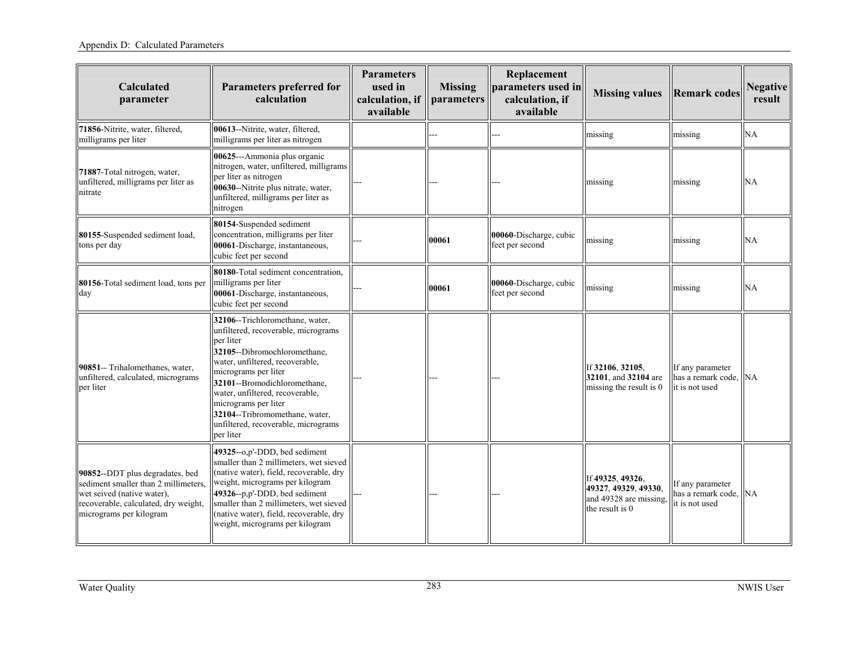| <b>Calculated</b><br>parameter                                                                                                                                           | <b>Parameters preferred for</b><br>calculation                                                                                                                                                                                                                                                                                                                  | <b>Parameters</b><br>used in<br>calculation, if<br>available | <b>Missing</b><br>parameters | Replacement<br>parameters used in<br>calculation, if<br>available | <b>Missing values</b>                                                                 | <b>Remark codes</b>                                         | <b>Negative</b><br>result |
|--------------------------------------------------------------------------------------------------------------------------------------------------------------------------|-----------------------------------------------------------------------------------------------------------------------------------------------------------------------------------------------------------------------------------------------------------------------------------------------------------------------------------------------------------------|--------------------------------------------------------------|------------------------------|-------------------------------------------------------------------|---------------------------------------------------------------------------------------|-------------------------------------------------------------|---------------------------|
| 71856-Nitrite, water, filtered,<br>milligrams per liter                                                                                                                  | 00613--Nitrite, water, filtered,<br>milligrams per liter as nitrogen                                                                                                                                                                                                                                                                                            |                                                              |                              |                                                                   | missing                                                                               | missing                                                     | NA                        |
| 71887-Total nitrogen, water,<br>unfiltered, milligrams per liter as<br>nitrate                                                                                           | 00625---Ammonia plus organic<br>nitrogen, water, unfiltered, milligrams<br>per liter as nitrogen<br>00630--Nitrite plus nitrate, water,<br>unfiltered, milligrams per liter as<br>nitrogen                                                                                                                                                                      |                                                              |                              |                                                                   | missing                                                                               | missing                                                     | <b>NA</b>                 |
| 80155-Suspended sediment load,<br>tons per day                                                                                                                           | 80154-Suspended sediment<br>concentration, milligrams per liter<br>00061-Discharge, instantaneous,<br>cubic feet per second                                                                                                                                                                                                                                     |                                                              | 00061                        | 00060-Discharge, cubic<br>feet per second                         | missing                                                                               | missing                                                     | NA                        |
| 80156-Total sediment load, tons per<br>day                                                                                                                               | 80180-Total sediment concentration,<br>milligrams per liter<br>00061-Discharge, instantaneous,<br>cubic feet per second                                                                                                                                                                                                                                         |                                                              | 00061                        | 00060-Discharge, cubic<br>feet per second                         | missing                                                                               | missing                                                     | NA                        |
| 90851-- Trihalomethanes, water,<br>unfiltered, calculated, micrograms<br>per liter                                                                                       | 32106--Trichloromethane, water,<br>unfiltered, recoverable, micrograms<br>per liter<br>32105--Dibromochloromethane,<br>water, unfiltered, recoverable,<br>micrograms per liter<br>32101--Bromodichloromethane,<br>water, unfiltered, recoverable,<br>micrograms per liter<br>32104--Tribromomethane, water,<br>unfiltered, recoverable, micrograms<br>per liter |                                                              |                              |                                                                   | If 32106, 32105.<br>32101, and 32104 are<br>missing the result is 0                   | If any parameter<br>has a remark code,<br>it is not used    | <b>INA</b>                |
| 90852--DDT plus degradates, bed<br>sediment smaller than 2 millimeters,<br>wet seived (native water).<br>recoverable, calculated, dry weight,<br>micrograms per kilogram | 49325--o,p'-DDD, bed sediment<br>smaller than 2 millimeters, wet sieved<br>(native water), field, recoverable, dry<br>weight, micrograms per kilogram<br>49326--p,p'-DDD, bed sediment<br>smaller than 2 millimeters, wet sieved<br>(native water), field, recoverable, dry<br>weight, micrograms per kilogram                                                  |                                                              |                              |                                                                   | If 49325, 49326,<br>49327, 49329, 49330,<br>and 49328 are missing,<br>the result is 0 | If any parameter<br>has a remark code. NA<br>it is not used |                           |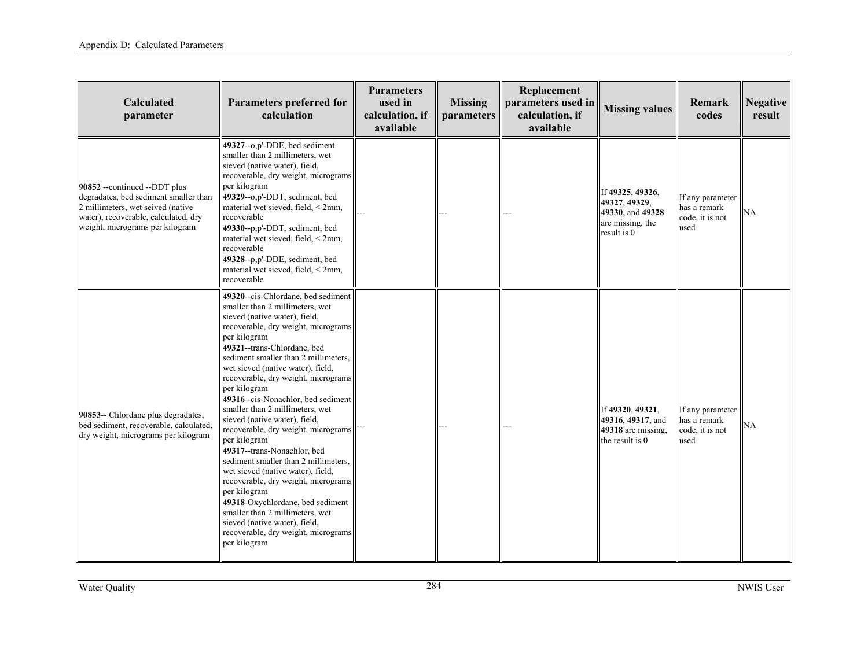| Calculated<br>parameter                                                                                                                                                               | <b>Parameters preferred for</b><br>calculation                                                                                                                                                                                                                                                                                                                                                                                                                                                                                                                                                                                                                                                                                                                                                                                      | <b>Parameters</b><br>used in<br>calculation, if<br>available | <b>Missing</b><br>parameters | Replacement<br>parameters used in<br>calculation, if<br>available | <b>Missing values</b>                                                                    | Remark<br>codes                                             | <b>Negative</b><br>result |
|---------------------------------------------------------------------------------------------------------------------------------------------------------------------------------------|-------------------------------------------------------------------------------------------------------------------------------------------------------------------------------------------------------------------------------------------------------------------------------------------------------------------------------------------------------------------------------------------------------------------------------------------------------------------------------------------------------------------------------------------------------------------------------------------------------------------------------------------------------------------------------------------------------------------------------------------------------------------------------------------------------------------------------------|--------------------------------------------------------------|------------------------------|-------------------------------------------------------------------|------------------------------------------------------------------------------------------|-------------------------------------------------------------|---------------------------|
| 90852 --continued --DDT plus<br>degradates, bed sediment smaller than<br>2 millimeters, wet seived (native<br>water), recoverable, calculated, dry<br>weight, micrograms per kilogram | 49327--o,p'-DDE, bed sediment<br>smaller than 2 millimeters, wet<br>sieved (native water), field,<br>recoverable, dry weight, micrograms<br>per kilogram<br>$ 49329-0, p'$ -DDT, sediment, bed<br>material wet sieved, field, < 2mm,<br>recoverable<br>$49330-p$ , p'-DDT, sediment, bed<br>material wet sieved, field, $\leq$ 2mm,<br>recoverable<br>49328--p,p'-DDE, sediment, bed<br>material wet sieved, field, < 2mm,<br>recoverable                                                                                                                                                                                                                                                                                                                                                                                           |                                                              |                              |                                                                   | If 49325, 49326,<br>49327, 49329,<br>49330, and 49328<br>are missing, the<br>result is 0 | If any parameter<br>has a remark<br>code, it is not<br>used | NA                        |
| 90853-- Chlordane plus degradates,<br>bed sediment, recoverable, calculated,<br>dry weight, micrograms per kilogram                                                                   | 49320--cis-Chlordane, bed sediment<br>smaller than 2 millimeters, wet<br>sieved (native water), field,<br>recoverable, dry weight, micrograms<br>per kilogram<br>49321--trans-Chlordane, bed<br>sediment smaller than 2 millimeters,<br>wet sieved (native water), field,<br>recoverable, dry weight, micrograms<br>per kilogram<br>49316--cis-Nonachlor, bed sediment<br>smaller than 2 millimeters, wet<br>sieved (native water), field,<br>recoverable, dry weight, micrograms<br>per kilogram<br>49317--trans-Nonachlor, bed<br>sediment smaller than 2 millimeters,<br>wet sieved (native water), field,<br>recoverable, dry weight, micrograms<br>per kilogram<br>49318-Oxychlordane, bed sediment<br>smaller than 2 millimeters, wet<br>sieved (native water), field,<br>recoverable, dry weight, micrograms<br>per kilogram |                                                              |                              |                                                                   | If 49320, 49321,<br>49316, 49317, and<br>49318 are missing,<br>the result is 0           | If any parameter<br>has a remark<br>code, it is not<br>used | <b>NA</b>                 |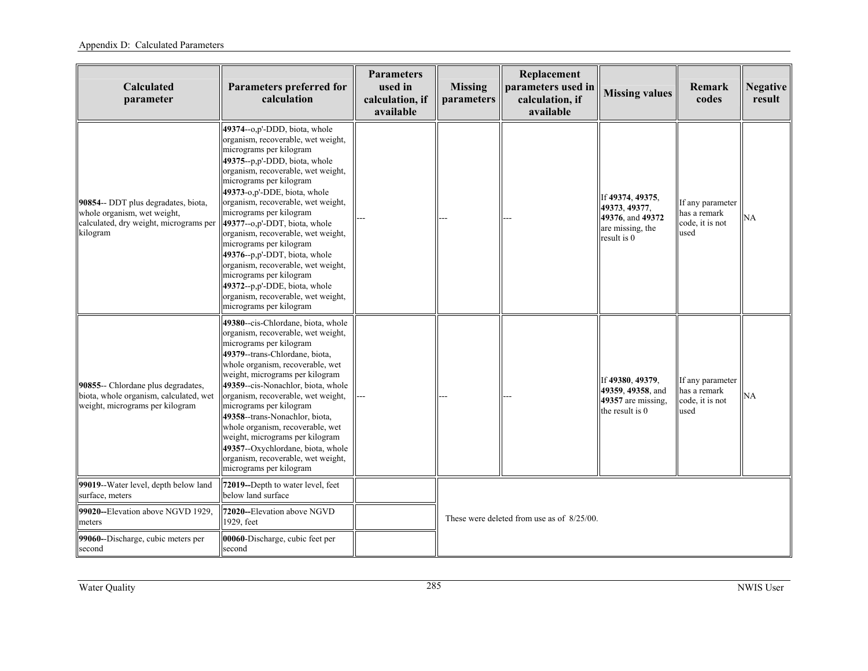| Calculated<br>parameter                                                                                                  | Parameters preferred for<br>calculation                                                                                                                                                                                                                                                                                                                                                                                                                                                                                                                                                                 | Parameters<br>used in<br>calculation, if<br>available | <b>Missing</b><br>parameters | Replacement<br>parameters used in<br>calculation, if<br>available | <b>Missing values</b>                                                                    | Remark<br>codes                                             | <b>Negative</b><br>result |
|--------------------------------------------------------------------------------------------------------------------------|---------------------------------------------------------------------------------------------------------------------------------------------------------------------------------------------------------------------------------------------------------------------------------------------------------------------------------------------------------------------------------------------------------------------------------------------------------------------------------------------------------------------------------------------------------------------------------------------------------|-------------------------------------------------------|------------------------------|-------------------------------------------------------------------|------------------------------------------------------------------------------------------|-------------------------------------------------------------|---------------------------|
| 90854-- DDT plus degradates, biota,<br>whole organism, wet weight,<br>calculated, dry weight, micrograms per<br>kilogram | 49374--o,p'-DDD, biota, whole<br>organism, recoverable, wet weight,<br>micrograms per kilogram<br>49375--p,p'-DDD, biota, whole<br>organism, recoverable, wet weight,<br>micrograms per kilogram<br>49373-o,p'-DDE, biota, whole<br>organism, recoverable, wet weight,<br>micrograms per kilogram<br>49377--o,p'-DDT, biota, whole<br>organism, recoverable, wet weight,<br>micrograms per kilogram<br>49376--p,p'-DDT, biota, whole<br>organism, recoverable, wet weight,<br>micrograms per kilogram<br>49372--p,p'-DDE, biota, whole<br>organism, recoverable, wet weight,<br>micrograms per kilogram |                                                       |                              |                                                                   | If 49374, 49375,<br>49373, 49377,<br>49376, and 49372<br>are missing, the<br>result is 0 | If any parameter<br>has a remark<br>code, it is not<br>used | NA                        |
| 90855-- Chlordane plus degradates,<br>biota, whole organism, calculated, wet<br>weight, micrograms per kilogram          | 49380--cis-Chlordane, biota, whole<br>organism, recoverable, wet weight,<br>micrograms per kilogram<br>49379--trans-Chlordane, biota,<br>whole organism, recoverable, wet<br>weight, micrograms per kilogram<br>49359--cis-Nonachlor, biota, whole<br>organism, recoverable, wet weight,<br>micrograms per kilogram<br>49358--trans-Nonachlor, biota,<br>whole organism, recoverable, wet<br>weight, micrograms per kilogram<br>49357--Oxychlordane, biota, whole<br>organism, recoverable, wet weight,<br>micrograms per kilogram                                                                      |                                                       |                              |                                                                   | If 49380, 49379,<br>49359, 49358, and<br>49357 are missing.<br>the result is 0           | If any parameter<br>has a remark<br>code, it is not<br>used | NA                        |
| 99019--Water level, depth below land<br>surface, meters                                                                  | 72019--Depth to water level, feet<br>below land surface                                                                                                                                                                                                                                                                                                                                                                                                                                                                                                                                                 |                                                       |                              |                                                                   |                                                                                          |                                                             |                           |
| 99020--Elevation above NGVD 1929,<br>meters                                                                              | 72020--Elevation above NGVD<br>1929, feet                                                                                                                                                                                                                                                                                                                                                                                                                                                                                                                                                               |                                                       |                              | These were deleted from use as of 8/25/00.                        |                                                                                          |                                                             |                           |
| 99060--Discharge, cubic meters per<br>second                                                                             | 00060-Discharge, cubic feet per<br>second                                                                                                                                                                                                                                                                                                                                                                                                                                                                                                                                                               |                                                       |                              |                                                                   |                                                                                          |                                                             |                           |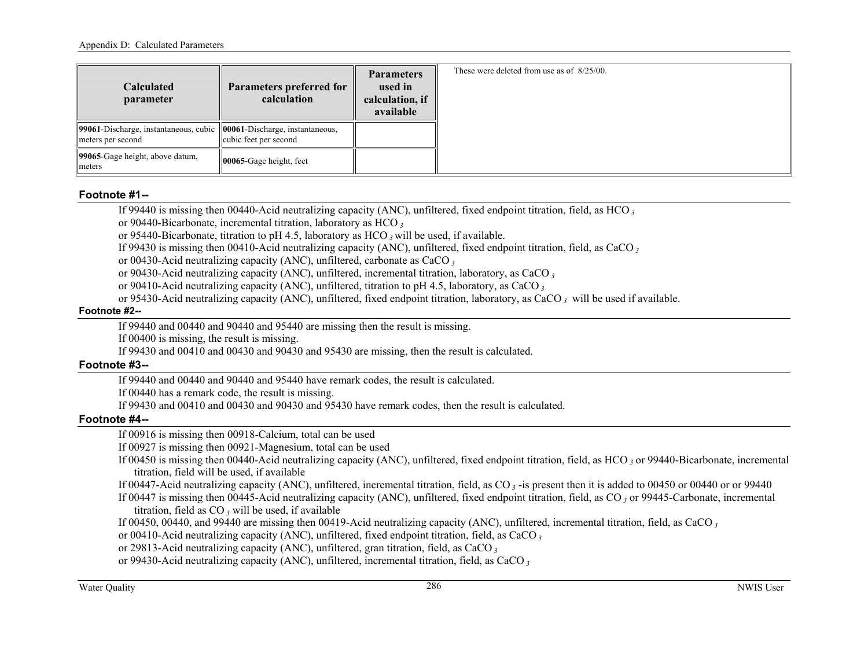| <b>Calculated</b><br>parameter                                                              | <b>Parameters preferred for</b><br>calculation | <b>Parameters</b><br>used in<br>calculation, if<br>available | These were deleted from use as of 8/25/00. |
|---------------------------------------------------------------------------------------------|------------------------------------------------|--------------------------------------------------------------|--------------------------------------------|
| 99061-Discharge, instantaneous, cubic 100061-Discharge, instantaneous,<br>meters per second | cubic feet per second                          |                                                              |                                            |
| 199065-Gage height, above datum,<br>meters                                                  | $ 00065 - \text{Gage height}, \text{feet} $    |                                                              |                                            |

#### **Footnote #1--**

If 99440 is missing then 00440-Acid neutralizing capacity (ANC), unfiltered, fixed endpoint titration, field, as HCO*<sup>3</sup>*

or 90440-Bicarbonate, incremental titration, laboratory as HCO*<sup>3</sup>*

or 95440-Bicarbonate, titration to pH 4.5, laboratory as HCO *3* will be used, if available.

If 99430 is missing then 00410-Acid neutralizing capacity (ANC), unfiltered, fixed endpoint titration, field, as CaCO*<sup>3</sup>*

or 00430-Acid neutralizing capacity (ANC), unfiltered, carbonate as CaCO*<sup>3</sup>*

or 90430-Acid neutralizing capacity (ANC), unfiltered, incremental titration, laboratory, as CaCO*<sup>3</sup>*

or 90410-Acid neutralizing capacity (ANC), unfiltered, titration to pH 4.5, laboratory, as CaCO*<sup>3</sup>*

or 95430-Acid neutralizing capacity (ANC), unfiltered, fixed endpoint titration, laboratory, as CaCO *3* will be used if available.

#### **Footnote #2--**

If 99440 and 00440 and 90440 and 95440 are missing then the result is missing.

If 00400 is missing, the result is missing.

If 99430 and 00410 and 00430 and 90430 and 95430 are missing, then the result is calculated.

#### **Footnote #3--**

If 99440 and 00440 and 90440 and 95440 have remark codes, the result is calculated.

If 00440 has a remark code, the result is missing.

If 99430 and 00410 and 00430 and 90430 and 95430 have remark codes, then the result is calculated.

# **Footnote #4--**

If 00916 is missing then 00918-Calcium, total can be used

If 00927 is missing then 00921-Magnesium, total can be used

If 00450 is missing then 00440-Acid neutralizing capacity (ANC), unfiltered, fixed endpoint titration, field, as HCO *3* or 99440-Bicarbonate, incremental titration, field will be used, if available

If 00447-Acid neutralizing capacity (ANC), unfiltered, incremental titration, field, as CO*<sup>3</sup>* -is present then it is added to 00450 or 00440 or or 99440

If 00447 is missing then 00445-Acid neutralizing capacity (ANC), unfiltered, fixed endpoint titration, field, as CO *3* or 99445-Carbonate, incremental titration, field as CO *3* will be used, if available

If 00450, 00440, and 99440 are missing then 00419-Acid neutralizing capacity (ANC), unfiltered, incremental titration, field, as CaCO*<sup>3</sup>*

or 00410-Acid neutralizing capacity (ANC), unfiltered, fixed endpoint titration, field, as CaCO*<sup>3</sup>*

or 29813-Acid neutralizing capacity (ANC), unfiltered, gran titration, field, as CaCO*<sup>3</sup>*

or 99430-Acid neutralizing capacity (ANC), unfiltered, incremental titration, field, as CaCO *3*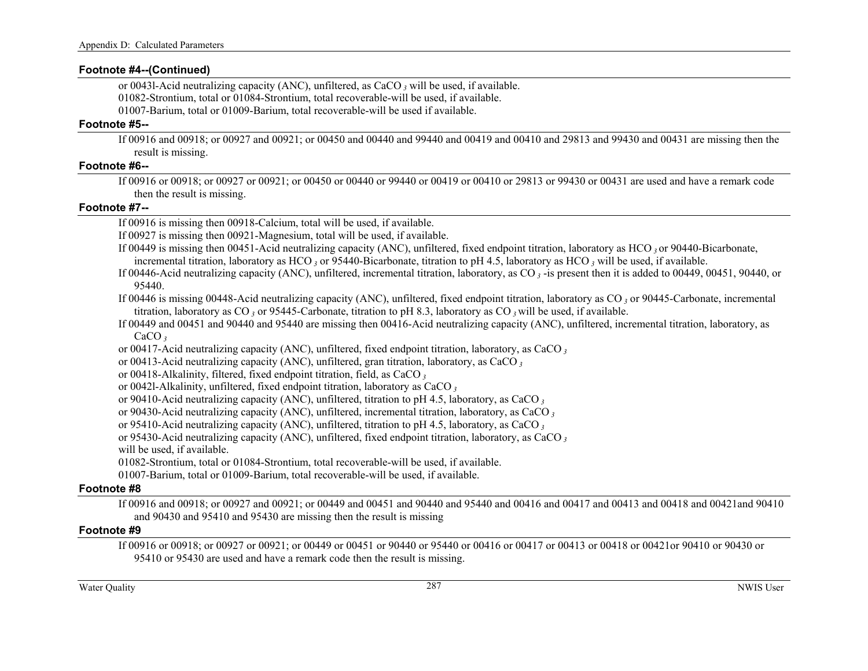#### **Footnote #4--(Continued)**

or 0043l-Acid neutralizing capacity (ANC), unfiltered, as CaCO *3* will be used, if available. 01082-Strontium, total or 01084-Strontium, total recoverable-will be used, if available.

01007-Barium, total or 01009-Barium, total recoverable-will be used if available.

#### **Footnote #5--**

If 00916 and 00918; or 00927 and 00921; or 00450 and 00440 and 99440 and 00419 and 00410 and 29813 and 99430 and 00431 are missing then the result is missing.

#### **Footnote #6--**

If 00916 or 00918; or 00927 or 00921; or 00450 or 00440 or 99440 or 00419 or 00410 or 29813 or 99430 or 00431 are used and have a remark code then the result is missing.

#### **Footnote #7--**

If 00916 is missing then 00918-Calcium, total will be used, if available.

If 00927 is missing then 00921-Magnesium, total will be used, if available.

If 00449 is missing then 00451-Acid neutralizing capacity (ANC), unfiltered, fixed endpoint titration, laboratory as HCO *3* or 90440-Bicarbonate,

incremental titration, laboratory as HCO 3<sup>3</sup> or 95440-Bicarbonate, titration to pH 4.5, laboratory as HCO 3<sup>3</sup> will be used, if available.

If 00446-Acid neutralizing capacity (ANC), unfiltered, incremental titration, laboratory, as CO*<sup>3</sup>* -is present then it is added to 00449, 00451, 90440, or 95440.

If 00446 is missing 00448-Acid neutralizing capacity (ANC), unfiltered, fixed endpoint titration, laboratory as CO *3* or 90445-Carbonate, incremental titration, laboratory as CO *3* or 95445-Carbonate, titration to pH 8.3, laboratory as CO *3* will be used, if available.

- If 00449 and 00451 and 90440 and 95440 are missing then 00416-Acid neutralizing capacity (ANC), unfiltered, incremental titration, laboratory, as CaCO *3*
- or 00417-Acid neutralizing capacity (ANC), unfiltered, fixed endpoint titration, laboratory, as CaCO*<sup>3</sup>*

or 00413-Acid neutralizing capacity (ANC), unfiltered, gran titration, laboratory, as CaCO*<sup>3</sup>*

or 00418-Alkalinity, filtered, fixed endpoint titration, field, as CaCO*<sup>3</sup>*

- or 0042l-Alkalinity, unfiltered, fixed endpoint titration, laboratory as CaCO*<sup>3</sup>*
- or 90410-Acid neutralizing capacity (ANC), unfiltered, titration to pH 4.5, laboratory, as CaCO*<sup>3</sup>*

or 90430-Acid neutralizing capacity (ANC), unfiltered, incremental titration, laboratory, as CaCO*<sup>3</sup>*

or 95410-Acid neutralizing capacity (ANC), unfiltered, titration to pH 4.5, laboratory, as CaCO*<sup>3</sup>*

or 95430-Acid neutralizing capacity (ANC), unfiltered, fixed endpoint titration, laboratory, as CaCO*<sup>3</sup>*

will be used, if available.

01082-Strontium, total or 01084-Strontium, total recoverable-will be used, if available.

01007-Barium, total or 01009-Barium, total recoverable-will be used, if available.

# **Footnote #8**

If 00916 and 00918; or 00927 and 00921; or 00449 and 00451 and 90440 and 95440 and 00416 and 00417 and 00413 and 00418 and 00421and 90410 and 90430 and 95410 and 95430 are missing then the result is missing

# **Footnote #9**

If 00916 or 00918; or 00927 or 00921; or 00449 or 00451 or 90440 or 95440 or 00416 or 00417 or 00413 or 00418 or 00421or 90410 or 90430 or 95410 or 95430 are used and have a remark code then the result is missing.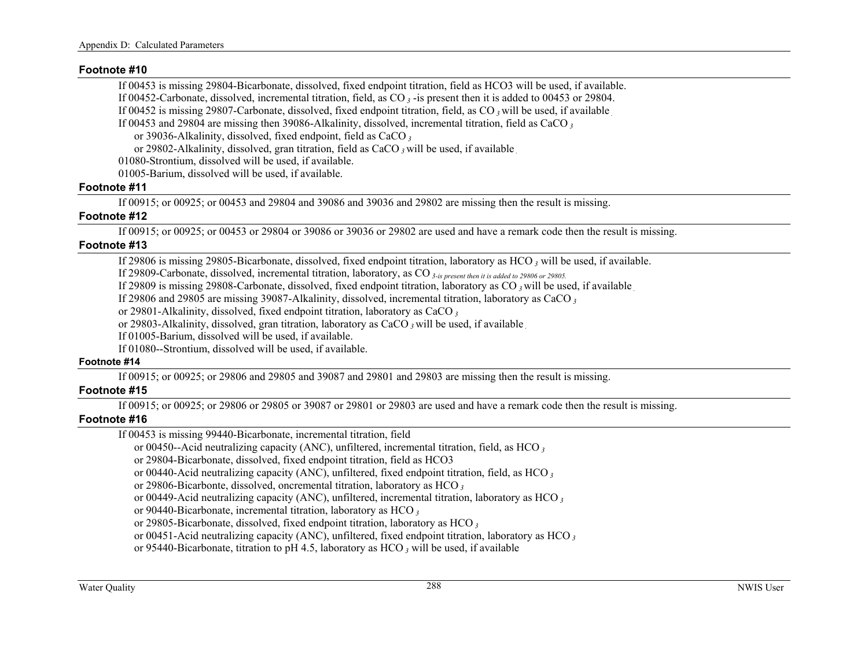#### **Footnote #10**

If 00453 is missing 29804-Bicarbonate, dissolved, fixed endpoint titration, field as HCO3 will be used, if available.

If 00452-Carbonate, dissolved, incremental titration, field, as CO*<sup>3</sup>* -is present then it is added to 00453 or 29804.

If 00452 is missing 29807-Carbonate, dissolved, fixed endpoint titration, field, as CO *3* will be used, if available *.*

If 00453 and 29804 are missing then 39086-Alkalinity, dissolved, incremental titration, field as CaCO*<sup>3</sup>*

or 39036-Alkalinity, dissolved, fixed endpoint, field as CaCO*<sup>3</sup>*

or 29802-Alkalinity, dissolved, gran titration, field as CaCO *3* will be used, if available *.*

01080-Strontium, dissolved will be used, if available.

01005-Barium, dissolved will be used, if available.

# **Footnote #11**

If 00915; or 00925; or 00453 and 29804 and 39086 and 39036 and 29802 are missing then the result is missing.

# **Footnote #12**

If 00915; or 00925; or 00453 or 29804 or 39086 or 39036 or 29802 are used and have a remark code then the result is missing.

# **Footnote #13**

If 29806 is missing 29805-Bicarbonate, dissolved, fixed endpoint titration, laboratory as HCO *3* will be used, if available.

If 29809-Carbonate, dissolved, incremental titration, laboratory, as CO *3-is present then it is added to 29806 or 29805.*

If 29809 is missing 29808-Carbonate, dissolved, fixed endpoint titration, laboratory as CO *3* will be used, if available *.*

If 29806 and 29805 are missing 39087-Alkalinity, dissolved, incremental titration, laboratory as CaCO*<sup>3</sup>*

or 29801-Alkalinity, dissolved, fixed endpoint titration, laboratory as CaCO*<sup>3</sup>*

or 29803-Alkalinity, dissolved, gran titration, laboratory as CaCO *3* will be used, if available *.*

If 01005-Barium, dissolved will be used, if available.

If 01080--Strontium, dissolved will be used, if available.

# **Footnote #14**

If 00915; or 00925; or 29806 and 29805 and 39087 and 29801 and 29803 are missing then the result is missing.

# **Footnote #15**

If 00915; or 00925; or 29806 or 29805 or 39087 or 29801 or 29803 are used and have a remark code then the result is missing.

# **Footnote #16**

If 00453 is missing 99440-Bicarbonate, incremental titration, field

or 00450--Acid neutralizing capacity (ANC), unfiltered, incremental titration, field, as HCO*<sup>3</sup>*

or 29804-Bicarbonate, dissolved, fixed endpoint titration, field as HCO3

or 00440-Acid neutralizing capacity (ANC), unfiltered, fixed endpoint titration, field, as HCO*<sup>3</sup>*

or 29806-Bicarbonte, dissolved, oncremental titration, laboratory as HCO*<sup>3</sup>*

or 00449-Acid neutralizing capacity (ANC), unfiltered, incremental titration, laboratory as HCO*<sup>3</sup>*

or 90440-Bicarbonate, incremental titration, laboratory as HCO*<sup>3</sup>*

or 29805-Bicarbonate, dissolved, fixed endpoint titration, laboratory as HCO*<sup>3</sup>*

or 00451-Acid neutralizing capacity (ANC), unfiltered, fixed endpoint titration, laboratory as HCO*<sup>3</sup>*

or 95440-Bicarbonate, titration to pH 4.5, laboratory as HCO *3* will be used, if available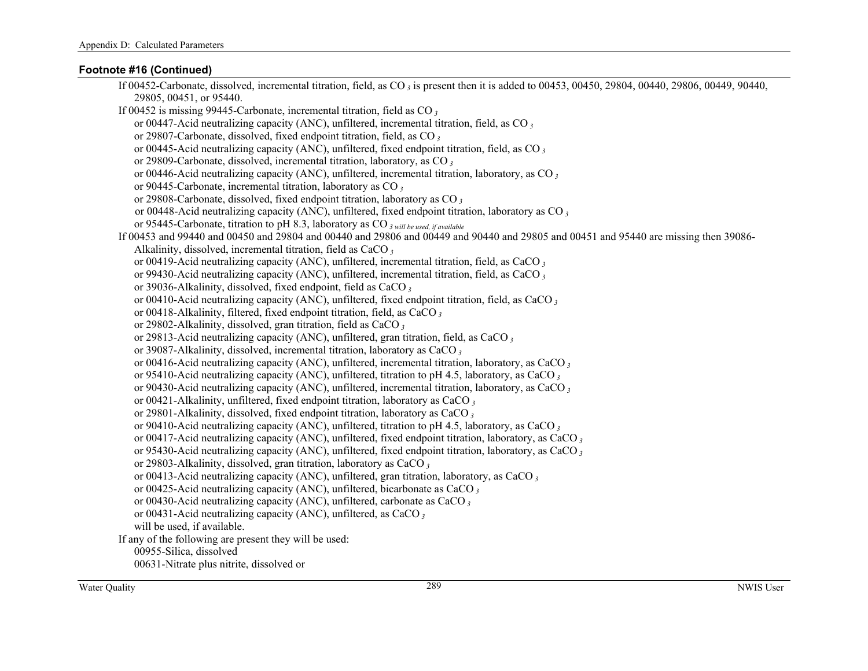# **Footnote #16 (Continued)**

| If 00452-Carbonate, dissolved, incremental titration, field, as CO <sub>3</sub> is present then it is added to 00453, 00450, 29804, 00440, 29806, 00449, 90440, 2040, |
|-----------------------------------------------------------------------------------------------------------------------------------------------------------------------|
| 29805, 00451, or 95440.                                                                                                                                               |
| If 00452 is missing 99445-Carbonate, incremental titration, field as $CO3$                                                                                            |
| or 00447-Acid neutralizing capacity (ANC), unfiltered, incremental titration, field, as CO $_3$                                                                       |
| or 29807-Carbonate, dissolved, fixed endpoint titration, field, as CO <sub>3</sub>                                                                                    |
| or 00445-Acid neutralizing capacity (ANC), unfiltered, fixed endpoint titration, field, as CO $_3$                                                                    |
| or 29809-Carbonate, dissolved, incremental titration, laboratory, as CO <sub>3</sub>                                                                                  |
| or 00446-Acid neutralizing capacity (ANC), unfiltered, incremental titration, laboratory, as CO $_3$                                                                  |
| or 90445-Carbonate, incremental titration, laboratory as CO $_3$                                                                                                      |
| or 29808-Carbonate, dissolved, fixed endpoint titration, laboratory as CO <sub>3</sub>                                                                                |
| or 00448-Acid neutralizing capacity (ANC), unfiltered, fixed endpoint titration, laboratory as CO <sub>3</sub>                                                        |
| or 95445-Carbonate, titration to pH 8.3, laboratory as CO <sub>3 will be used, if available</sub>                                                                     |
| If 00453 and 99440 and 00450 and 29804 and 00440 and 29806 and 00449 and 90440 and 29805 and 00451 and 95440 are missing then 39086-                                  |
| Alkalinity, dissolved, incremental titration, field as CaCO <sub>3</sub>                                                                                              |
| or 00419-Acid neutralizing capacity (ANC), unfiltered, incremental titration, field, as CaCO $_3$                                                                     |
| or 99430-Acid neutralizing capacity (ANC), unfiltered, incremental titration, field, as CaCO $_3$                                                                     |
| or 39036-Alkalinity, dissolved, fixed endpoint, field as CaCO <sub>3</sub>                                                                                            |
| or 00410-Acid neutralizing capacity (ANC), unfiltered, fixed endpoint titration, field, as CaCO $_3$                                                                  |
| or 00418-Alkalinity, filtered, fixed endpoint titration, field, as CaCO <sub>3</sub>                                                                                  |
| or 29802-Alkalinity, dissolved, gran titration, field as CaCO <sub>3</sub>                                                                                            |
| or 29813-Acid neutralizing capacity (ANC), unfiltered, gran titration, field, as CaCO <sub>3</sub>                                                                    |
| or 39087-Alkalinity, dissolved, incremental titration, laboratory as CaCO <sub>3</sub>                                                                                |
| or 00416-Acid neutralizing capacity (ANC), unfiltered, incremental titration, laboratory, as CaCO $_3$                                                                |
| or 95410-Acid neutralizing capacity (ANC), unfiltered, titration to pH 4.5, laboratory, as CaCO $_3$                                                                  |
| or 90430-Acid neutralizing capacity (ANC), unfiltered, incremental titration, laboratory, as CaCO $_3$                                                                |
| or 00421-Alkalinity, unfiltered, fixed endpoint titration, laboratory as CaCO $_3$                                                                                    |
| or 29801-Alkalinity, dissolved, fixed endpoint titration, laboratory as CaCO <sub>3</sub>                                                                             |
| or 90410-Acid neutralizing capacity (ANC), unfiltered, titration to pH 4.5, laboratory, as CaCO $_3$                                                                  |
| or 00417-Acid neutralizing capacity (ANC), unfiltered, fixed endpoint titration, laboratory, as CaCO $_3$                                                             |
| or 95430-Acid neutralizing capacity (ANC), unfiltered, fixed endpoint titration, laboratory, as CaCO $_3$                                                             |
| or 29803-Alkalinity, dissolved, gran titration, laboratory as CaCO <sub>3</sub>                                                                                       |
| or 00413-Acid neutralizing capacity (ANC), unfiltered, gran titration, laboratory, as CaCO <sub>3</sub>                                                               |
| or 00425-Acid neutralizing capacity (ANC), unfiltered, bicarbonate as CaCO $_3$                                                                                       |
| or 00430-Acid neutralizing capacity (ANC), unfiltered, carbonate as CaCO <sub>3</sub>                                                                                 |
| or 00431-Acid neutralizing capacity (ANC), unfiltered, as CaCO $_3$                                                                                                   |
| will be used, if available.                                                                                                                                           |
| If any of the following are present they will be used:                                                                                                                |
| 00955-Silica, dissolved                                                                                                                                               |
| 00631-Nitrate plus nitrite, dissolved or                                                                                                                              |
|                                                                                                                                                                       |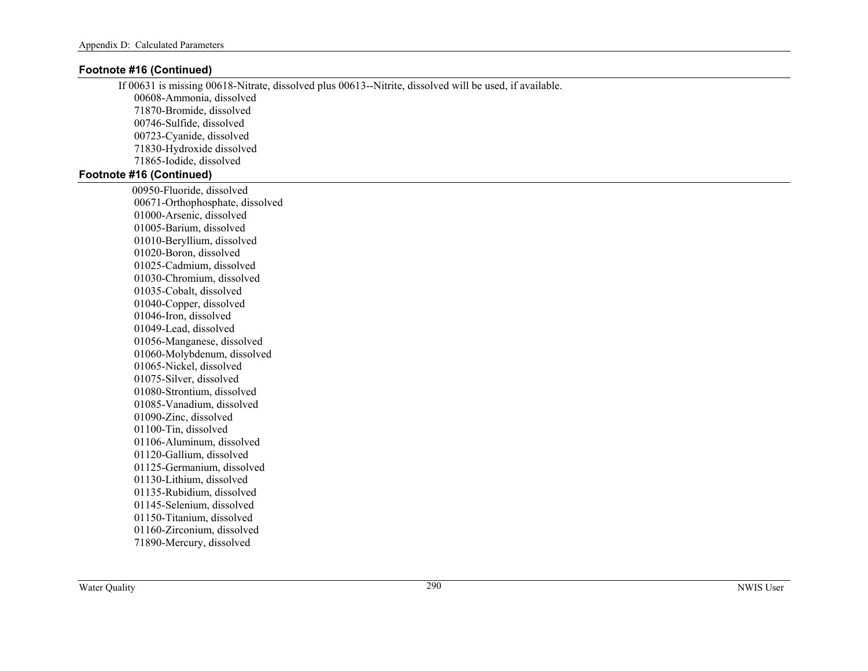# **Footnote #16 (Continued)**

If 00631 is missing 00618-Nitrate, dissolved plus 00613--Nitrite, dissolved will be used, if available. 00608-Ammonia, dissolved 71870-Bromide, dissolved 00746-Sulfide, dissolved 00723-Cyanide, dissolved 71830-Hydroxide dissolved 71865-Iodide, dissolved **Footnote #16 (Continued)** 

> 00950-Fluoride, dissolved 00671-Orthophosphate, dissolved 01000-Arsenic, dissolved 01005-Barium, dissolved 01010-Beryllium, dissolved 01020-Boron, dissolved 01025-Cadmium, dissolved 01030-Chromium, dissolved 01035-Cobalt, dissolved 01040-Copper, dissolved 01046-Iron, dissolved 01049-Lead, dissolved 01056-Manganese, dissolved 01060-Molybdenum, dissolved 01065-Nickel, dissolved 01075-Silver, dissolved 01080-Strontium, dissolved 01085-Vanadium, dissolved 01090-Zinc, dissolved 01100-Tin, dissolved 01106-Aluminum, dissolved 01120-Gallium, dissolved 01125-Germanium, dissolved 01130-Lithium, dissolved 01135-Rubidium, dissolved 01145-Selenium, dissolved 01150-Titanium, dissolved 01160-Zirconium, dissolved 71890-Mercury, dissolved